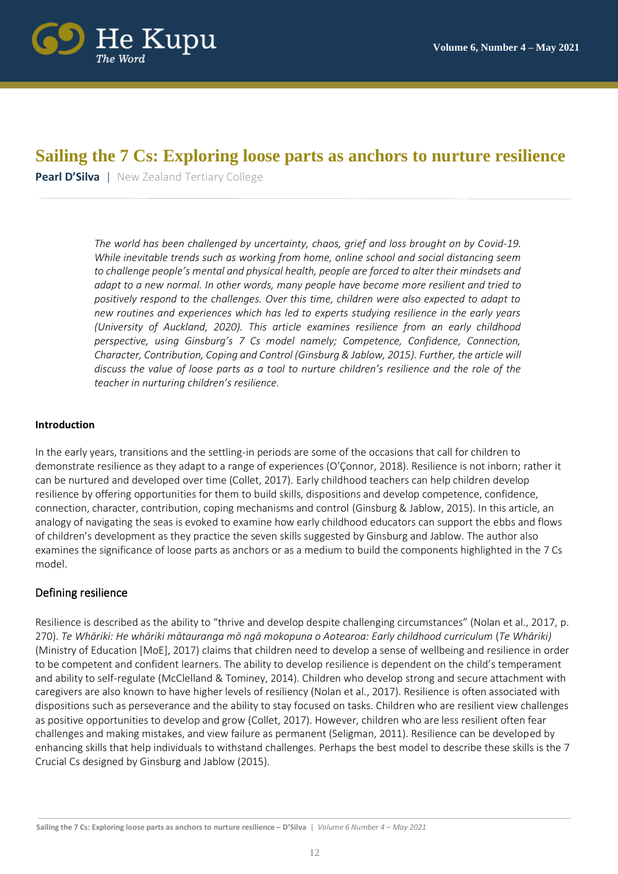

# **Sailing the 7 Cs: Exploring loose parts as anchors to nurture resilience**

**Pearl D'Silva** | New Zealand Tertiary College

*The world has been challenged by uncertainty, chaos, grief and loss brought on by Covid-19. While inevitable trends such as working from home, online school and social distancing seem to challenge people's mental and physical health, people are forced to alter their mindsets and adapt to a new normal. In other words, many people have become more resilient and tried to positively respond to the challenges. Over this time, children were also expected to adapt to new routines and experiences which has led to experts studying resilience in the early years (University of Auckland, 2020). This article examines resilience from an early childhood perspective, using Ginsburg's 7 Cs model namely; Competence, Confidence, Connection, Character, Contribution, Coping and Control (Ginsburg & Jablow, 2015). Further, the article will discuss the value of loose parts as a tool to nurture children's resilience and the role of the teacher in nurturing children's resilience.*

#### **Introduction**

In the early years, transitions and the settling-in periods are some of the occasions that call for children to demonstrate resilience as they adapt to a range of experiences (O'Çonnor, 2018). Resilience is not inborn; rather it can be nurtured and developed over time (Collet, 2017). Early childhood teachers can help children develop resilience by offering opportunities for them to build skills, dispositions and develop competence, confidence, connection, character, contribution, coping mechanisms and control (Ginsburg & Jablow, 2015). In this article, an analogy of navigating the seas is evoked to examine how early childhood educators can support the ebbs and flows of children's development as they practice the seven skills suggested by Ginsburg and Jablow. The author also examines the significance of loose parts as anchors or as a medium to build the components highlighted in the 7 Cs model.

### Defining resilience

Resilience is described as the ability to "thrive and develop despite challenging circumstances" (Nolan et al., 2017, p. 270). *Te Whāriki: He whāriki mātauranga mō ngā mokopuna o Aotearoa: Early childhood curriculum* (*Te Whāriki)*  (Ministry of Education [MoE], 2017) claims that children need to develop a sense of wellbeing and resilience in order to be competent and confident learners. The ability to develop resilience is dependent on the child's temperament and ability to self-regulate (McClelland & Tominey, 2014). Children who develop strong and secure attachment with caregivers are also known to have higher levels of resiliency (Nolan et al., 2017). Resilience is often associated with dispositions such as perseverance and the ability to stay focused on tasks. Children who are resilient view challenges as positive opportunities to develop and grow (Collet, 2017). However, children who are less resilient often fear challenges and making mistakes, and view failure as permanent (Seligman, 2011). Resilience can be developed by enhancing skills that help individuals to withstand challenges. Perhaps the best model to describe these skills is the 7 Crucial Cs designed by Ginsburg and Jablow (2015).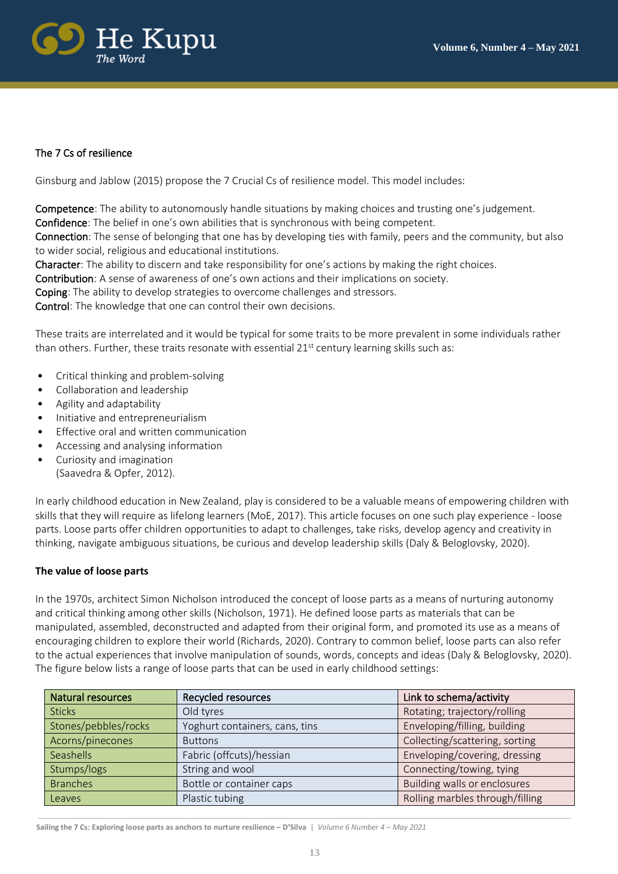

# The 7 Cs of resilience

Ginsburg and Jablow (2015) propose the 7 Crucial Cs of resilience model. This model includes:

Competence: The ability to autonomously handle situations by making choices and trusting one's judgement. Confidence: The belief in one's own abilities that is synchronous with being competent.

Connection: The sense of belonging that one has by developing ties with family, peers and the community, but also to wider social, religious and educational institutions.

Character: The ability to discern and take responsibility for one's actions by making the right choices.

Contribution: A sense of awareness of one's own actions and their implications on society.

Coping: The ability to develop strategies to overcome challenges and stressors.

Control: The knowledge that one can control their own decisions.

These traits are interrelated and it would be typical for some traits to be more prevalent in some individuals rather than others. Further, these traits resonate with essential 21<sup>st</sup> century learning skills such as:

- Critical thinking and problem-solving
- Collaboration and leadership
- Agility and adaptability
- Initiative and entrepreneurialism
- Effective oral and written communication
- Accessing and analysing information
- Curiosity and imagination (Saavedra & Opfer, 2012).

In early childhood education in New Zealand, play is considered to be a valuable means of empowering children with skills that they will require as lifelong learners (MoE, 2017). This article focuses on one such play experience - loose parts. Loose parts offer children opportunities to adapt to challenges, take risks, develop agency and creativity in thinking, navigate ambiguous situations, be curious and develop leadership skills (Daly & Beloglovsky, 2020).

### **The value of loose parts**

In the 1970s, architect Simon Nicholson introduced the concept of loose parts as a means of nurturing autonomy and critical thinking among other skills (Nicholson, 1971). He defined loose parts as materials that can be manipulated, assembled, deconstructed and adapted from their original form, and promoted its use as a means of encouraging children to explore their world (Richards, 2020). Contrary to common belief, loose parts can also refer to the actual experiences that involve manipulation of sounds, words, concepts and ideas (Daly & Beloglovsky, 2020). The figure below lists a range of loose parts that can be used in early childhood settings:

| <b>Natural resources</b> | <b>Recycled resources</b>      | Link to schema/activity         |
|--------------------------|--------------------------------|---------------------------------|
| <b>Sticks</b>            | Old tyres                      | Rotating; trajectory/rolling    |
| Stones/pebbles/rocks     | Yoghurt containers, cans, tins | Enveloping/filling, building    |
| Acorns/pinecones         | <b>Buttons</b>                 | Collecting/scattering, sorting  |
| Seashells                | Fabric (offcuts)/hessian       | Enveloping/covering, dressing   |
| Stumps/logs              | String and wool                | Connecting/towing, tying        |
| <b>Branches</b>          | Bottle or container caps       | Building walls or enclosures    |
| Leaves                   | Plastic tubing                 | Rolling marbles through/filling |

**Sailing the 7 Cs: Exploring loose parts as anchors to nurture resilience – D'Silva** | *Volume 6 Number 4 – May 2021*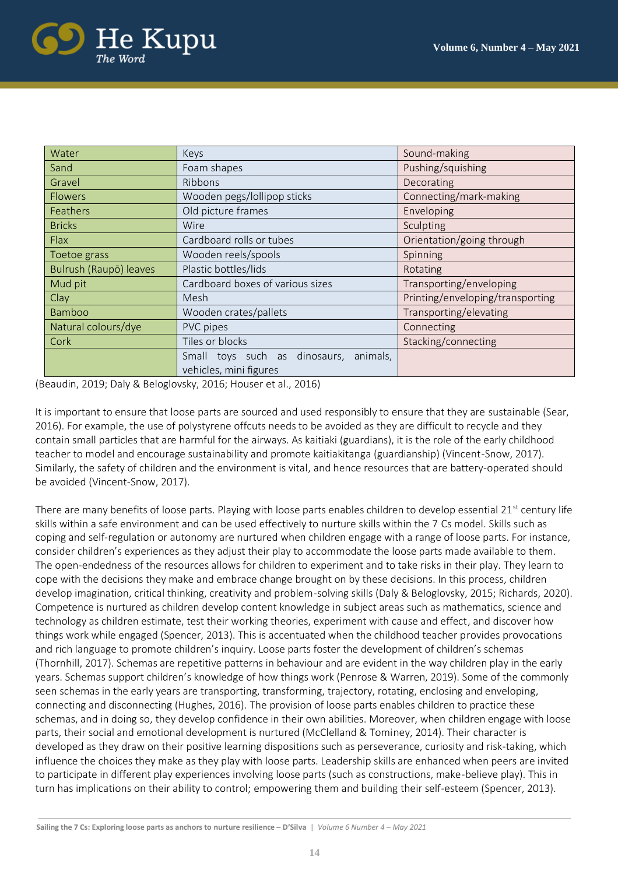

| Water                  | Keys                                      | Sound-making                     |
|------------------------|-------------------------------------------|----------------------------------|
| Sand                   | Foam shapes                               | Pushing/squishing                |
| Gravel                 | <b>Ribbons</b>                            | Decorating                       |
| <b>Flowers</b>         | Wooden pegs/lollipop sticks               | Connecting/mark-making           |
| Feathers               | Old picture frames                        | Enveloping                       |
| <b>Bricks</b>          | Wire                                      | Sculpting                        |
| Flax                   | Cardboard rolls or tubes                  | Orientation/going through        |
| Toetoe grass           | Wooden reels/spools                       | Spinning                         |
| Bulrush (Raupō) leaves | Plastic bottles/lids                      | Rotating                         |
| Mud pit                | Cardboard boxes of various sizes          | Transporting/enveloping          |
| Clay                   | Mesh                                      | Printing/enveloping/transporting |
| Bamboo                 | Wooden crates/pallets                     | Transporting/elevating           |
| Natural colours/dye    | PVC pipes                                 | Connecting                       |
| Cork                   | Tiles or blocks                           | Stacking/connecting              |
|                        | Small toys such as dinosaurs,<br>animals, |                                  |
|                        | vehicles, mini figures                    |                                  |

(Beaudin, 2019; Daly & Beloglovsky, 2016; Houser et al., 2016)

It is important to ensure that loose parts are sourced and used responsibly to ensure that they are sustainable (Sear, 2016). For example, the use of polystyrene offcuts needs to be avoided as they are difficult to recycle and they contain small particles that are harmful for the airways. As kaitiaki (guardians), it is the role of the early childhood teacher to model and encourage sustainability and promote kaitiakitanga (guardianship) (Vincent-Snow, 2017). Similarly, the safety of children and the environment is vital, and hence resources that are battery-operated should be avoided (Vincent-Snow, 2017).

There are many benefits of loose parts. Playing with loose parts enables children to develop essential  $21<sup>st</sup>$  century life skills within a safe environment and can be used effectively to nurture skills within the 7 Cs model. Skills such as coping and self-regulation or autonomy are nurtured when children engage with a range of loose parts. For instance, consider children's experiences as they adjust their play to accommodate the loose parts made available to them. The open-endedness of the resources allows for children to experiment and to take risks in their play. They learn to cope with the decisions they make and embrace change brought on by these decisions. In this process, children develop imagination, critical thinking, creativity and problem-solving skills (Daly & Beloglovsky, 2015; Richards, 2020). Competence is nurtured as children develop content knowledge in subject areas such as mathematics, science and technology as children estimate, test their working theories, experiment with cause and effect, and discover how things work while engaged (Spencer, 2013). This is accentuated when the childhood teacher provides provocations and rich language to promote children's inquiry. Loose parts foster the development of children's schemas (Thornhill, 2017). Schemas are repetitive patterns in behaviour and are evident in the way children play in the early years. Schemas support children's knowledge of how things work (Penrose & Warren, 2019). Some of the commonly seen schemas in the early years are transporting, transforming, trajectory, rotating, enclosing and enveloping, connecting and disconnecting (Hughes, 2016). The provision of loose parts enables children to practice these schemas, and in doing so, they develop confidence in their own abilities. Moreover, when children engage with loose parts, their social and emotional development is nurtured (McClelland & Tominey, 2014). Their character is developed as they draw on their positive learning dispositions such as perseverance, curiosity and risk-taking, which influence the choices they make as they play with loose parts. Leadership skills are enhanced when peers are invited to participate in different play experiences involving loose parts (such as constructions, make-believe play). This in turn has implications on their ability to control; empowering them and building their self-esteem (Spencer, 2013).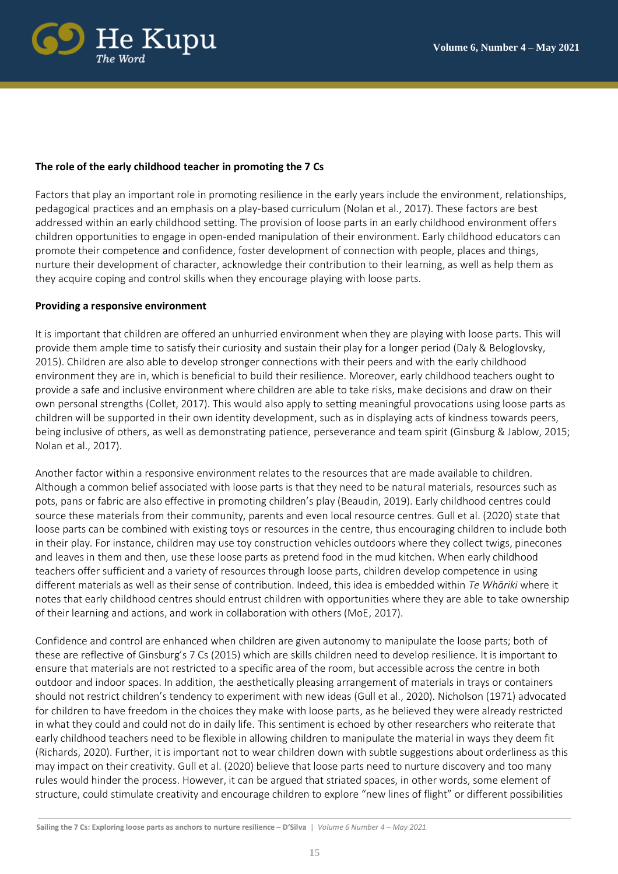

## **The role of the early childhood teacher in promoting the 7 Cs**

Factors that play an important role in promoting resilience in the early years include the environment, relationships, pedagogical practices and an emphasis on a play-based curriculum (Nolan et al., 2017). These factors are best addressed within an early childhood setting. The provision of loose parts in an early childhood environment offers children opportunities to engage in open-ended manipulation of their environment. Early childhood educators can promote their competence and confidence, foster development of connection with people, places and things, nurture their development of character, acknowledge their contribution to their learning, as well as help them as they acquire coping and control skills when they encourage playing with loose parts.

### **Providing a responsive environment**

It is important that children are offered an unhurried environment when they are playing with loose parts. This will provide them ample time to satisfy their curiosity and sustain their play for a longer period (Daly & Beloglovsky, 2015). Children are also able to develop stronger connections with their peers and with the early childhood environment they are in, which is beneficial to build their resilience. Moreover, early childhood teachers ought to provide a safe and inclusive environment where children are able to take risks, make decisions and draw on their own personal strengths (Collet, 2017). This would also apply to setting meaningful provocations using loose parts as children will be supported in their own identity development, such as in displaying acts of kindness towards peers, being inclusive of others, as well as demonstrating patience, perseverance and team spirit (Ginsburg & Jablow, 2015; Nolan et al., 2017).

Another factor within a responsive environment relates to the resources that are made available to children. Although a common belief associated with loose parts is that they need to be natural materials, resources such as pots, pans or fabric are also effective in promoting children's play (Beaudin, 2019). Early childhood centres could source these materials from their community, parents and even local resource centres. Gull et al. (2020) state that loose parts can be combined with existing toys or resources in the centre, thus encouraging children to include both in their play. For instance, children may use toy construction vehicles outdoors where they collect twigs, pinecones and leaves in them and then, use these loose parts as pretend food in the mud kitchen. When early childhood teachers offer sufficient and a variety of resources through loose parts, children develop competence in using different materials as well as their sense of contribution. Indeed, this idea is embedded within *Te Whāriki* where it notes that early childhood centres should entrust children with opportunities where they are able to take ownership of their learning and actions, and work in collaboration with others (MoE, 2017).

Confidence and control are enhanced when children are given autonomy to manipulate the loose parts; both of these are reflective of Ginsburg's 7 Cs (2015) which are skills children need to develop resilience. It is important to ensure that materials are not restricted to a specific area of the room, but accessible across the centre in both outdoor and indoor spaces. In addition, the aesthetically pleasing arrangement of materials in trays or containers should not restrict children's tendency to experiment with new ideas (Gull et al., 2020). Nicholson (1971) advocated for children to have freedom in the choices they make with loose parts, as he believed they were already restricted in what they could and could not do in daily life. This sentiment is echoed by other researchers who reiterate that early childhood teachers need to be flexible in allowing children to manipulate the material in ways they deem fit (Richards, 2020). Further, it is important not to wear children down with subtle suggestions about orderliness as this may impact on their creativity. Gull et al. (2020) believe that loose parts need to nurture discovery and too many rules would hinder the process. However, it can be argued that striated spaces, in other words, some element of structure, could stimulate creativity and encourage children to explore "new lines of flight" or different possibilities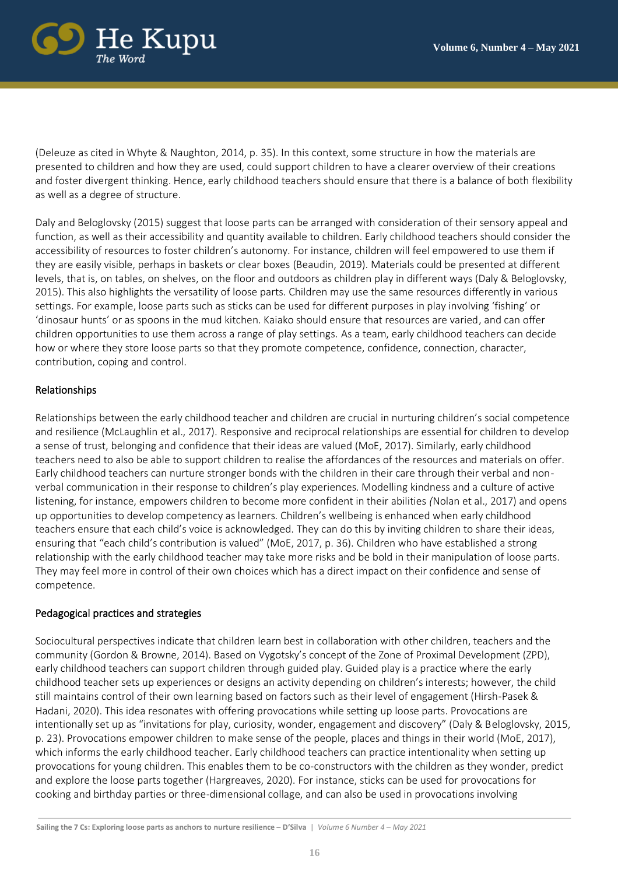

(Deleuze as cited in Whyte & Naughton, 2014, p. 35). In this context, some structure in how the materials are presented to children and how they are used, could support children to have a clearer overview of their creations and foster divergent thinking. Hence, early childhood teachers should ensure that there is a balance of both flexibility as well as a degree of structure.

Daly and Beloglovsky (2015) suggest that loose parts can be arranged with consideration of their sensory appeal and function, as well as their accessibility and quantity available to children. Early childhood teachers should consider the accessibility of resources to foster children's autonomy. For instance, children will feel empowered to use them if they are easily visible, perhaps in baskets or clear boxes (Beaudin, 2019). Materials could be presented at different levels, that is, on tables, on shelves, on the floor and outdoors as children play in different ways (Daly & Beloglovsky, 2015). This also highlights the versatility of loose parts. Children may use the same resources differently in various settings. For example, loose parts such as sticks can be used for different purposes in play involving 'fishing' or 'dinosaur hunts' or as spoons in the mud kitchen. Kaiako should ensure that resources are varied, and can offer children opportunities to use them across a range of play settings. As a team, early childhood teachers can decide how or where they store loose parts so that they promote competence, confidence, connection, character, contribution, coping and control.

# Relationships

Relationships between the early childhood teacher and children are crucial in nurturing children's social competence and resilience (McLaughlin et al., 2017). Responsive and reciprocal relationships are essential for children to develop a sense of trust, belonging and confidence that their ideas are valued (MoE, 2017). Similarly, early childhood teachers need to also be able to support children to realise the affordances of the resources and materials on offer. Early childhood teachers can nurture stronger bonds with the children in their care through their verbal and nonverbal communication in their response to children's play experiences. Modelling kindness and a culture of active listening, for instance, empowers children to become more confident in their abilities *(*Nolan et al., 2017) and opens up opportunities to develop competency as learners. Children's wellbeing is enhanced when early childhood teachers ensure that each child's voice is acknowledged. They can do this by inviting children to share their ideas, ensuring that "each child's contribution is valued" (MoE, 2017, p. 36). Children who have established a strong relationship with the early childhood teacher may take more risks and be bold in their manipulation of loose parts. They may feel more in control of their own choices which has a direct impact on their confidence and sense of competence.

### Pedagogical practices and strategies

Sociocultural perspectives indicate that children learn best in collaboration with other children, teachers and the community (Gordon & Browne, 2014). Based on Vygotsky's concept of the Zone of Proximal Development (ZPD), early childhood teachers can support children through guided play. Guided play is a practice where the early childhood teacher sets up experiences or designs an activity depending on children's interests; however, the child still maintains control of their own learning based on factors such as their level of engagement (Hirsh-Pasek & Hadani, 2020). This idea resonates with offering provocations while setting up loose parts. Provocations are intentionally set up as "invitations for play, curiosity, wonder, engagement and discovery" (Daly & Beloglovsky, 2015, p. 23). Provocations empower children to make sense of the people, places and things in their world (MoE, 2017), which informs the early childhood teacher. Early childhood teachers can practice intentionality when setting up provocations for young children. This enables them to be co-constructors with the children as they wonder, predict and explore the loose parts together (Hargreaves, 2020). For instance, sticks can be used for provocations for cooking and birthday parties or three-dimensional collage, and can also be used in provocations involving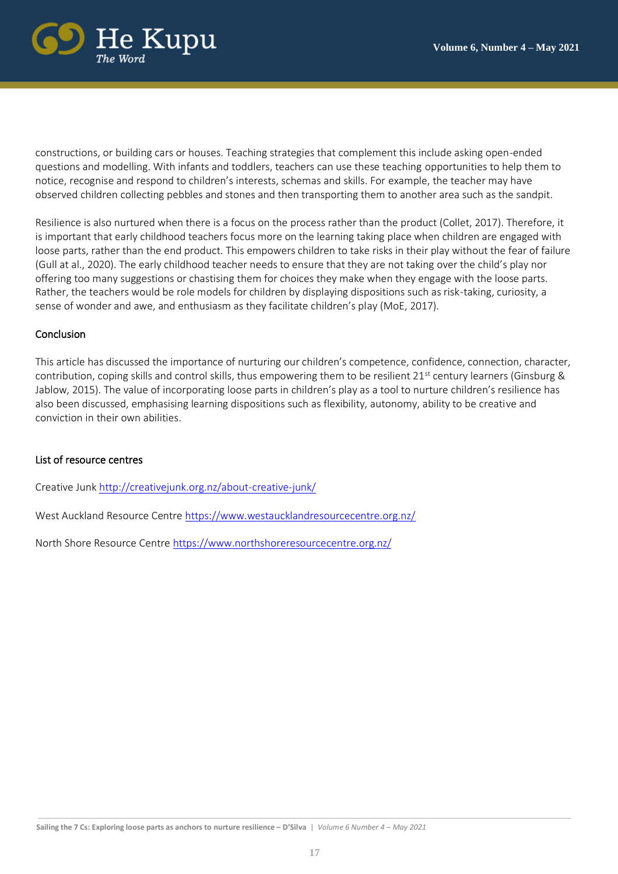

constructions, or building cars or houses. Teaching strategies that complement this include asking open-ended questions and modelling. With infants and toddlers, teachers can use these teaching opportunities to help them to notice, recognise and respond to children's interests, schemas and skills. For example, the teacher may have observed children collecting pebbles and stones and then transporting them to another area such as the sandpit.

Resilience is also nurtured when there is a focus on the process rather than the product (Collet, 2017). Therefore, it is important that early childhood teachers focus more on the learning taking place when children are engaged with loose parts, rather than the end product. This empowers children to take risks in their play without the fear of failure (Gull at al., 2020). The early childhood teacher needs to ensure that they are not taking over the child's play nor offering too many suggestions or chastising them for choices they make when they engage with the loose parts. Rather, the teachers would be role models for children by displaying dispositions such as risk-taking, curiosity, a sense of wonder and awe, and enthusiasm as they facilitate children's play (MoE, 2017).

# Conclusion

This article has discussed the importance of nurturing our children's competence, confidence, connection, character, contribution, coping skills and control skills, thus empowering them to be resilient 21<sup>st</sup> century learners (Ginsburg & Jablow, 2015). The value of incorporating loose parts in children's play as a tool to nurture children's resilience has also been discussed, emphasising learning dispositions such as flexibility, autonomy, ability to be creative and conviction in their own abilities.

### List of resource centres

Creative Jun[k http://creativejunk.org.nz/about-creative-junk/](about:blank) 

West Auckland Resource Centre [https://www.westaucklandresourcecentre.org.nz/](about:blank)

North Shore Resource Centre [https://www.northshoreresourcecentre.org.nz/](about:blank)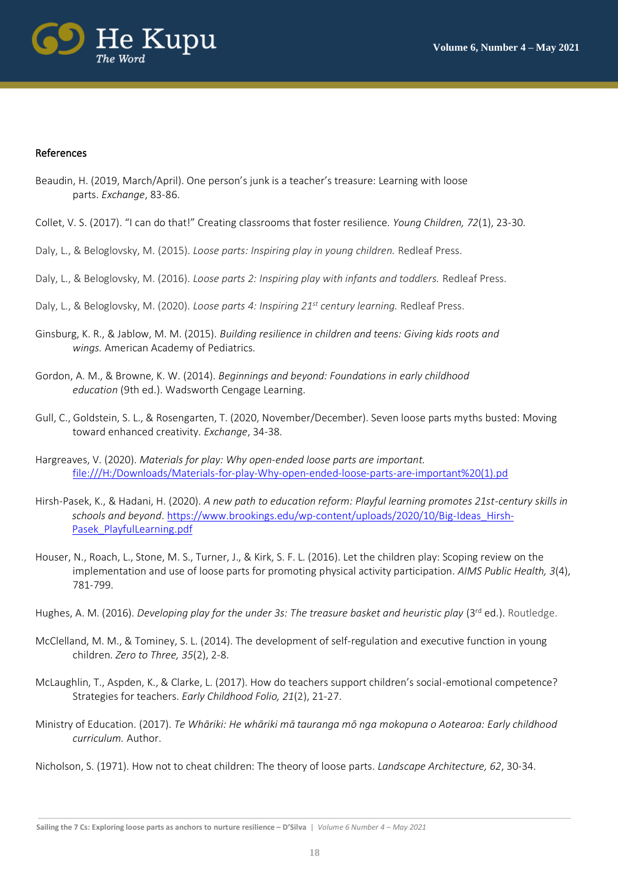

#### References

- Beaudin, H. (2019, March/April). One person's junk is a teacher's treasure: Learning with loose parts. *Exchange*, 83-86.
- Collet, V. S. (2017). "I can do that!" Creating classrooms that foster resilience. *Young Children, 72*(1), 23-30.
- Daly, L., & Beloglovsky, M. (2015). *Loose parts: Inspiring play in young children.* Redleaf Press.
- Daly, L., & Beloglovsky, M. (2016). *Loose parts 2: Inspiring play with infants and toddlers.* Redleaf Press.
- Daly, L., & Beloglovsky, M. (2020). *Loose parts 4: Inspiring 21st century learning.* Redleaf Press.
- Ginsburg, K. R., & Jablow, M. M. (2015). *Building resilience in children and teens: Giving kids roots and wings.* American Academy of Pediatrics.
- Gordon, A. M., & Browne, K. W. (2014). *Beginnings and beyond: Foundations in early childhood education* (9th ed.). Wadsworth Cengage Learning.
- Gull, C., Goldstein, S. L., & Rosengarten, T. (2020, November/December). Seven loose parts myths busted: Moving toward enhanced creativity. *Exchange*, 34-38.
- Hargreaves, V. (2020). *Materials for play: Why open-ended loose parts are important.*  [file:///H:/Downloads/Materials-for-play-Why-open-ended-loose-parts-are-important%20\(1\).pd](file:///H:/Downloads/Materials-for-play-Why-open-ended-loose-parts-are-important%20(1).pd)
- Hirsh-Pasek, K., & Hadani, H. (2020). *A new path to education reform: Playful learning promotes 21st-century skills in schools and beyond*. [https://www.brookings.edu/wp-content/uploads/2020/10/Big-Ideas\\_Hirsh-](https://www.brookings.edu/wp-content/uploads/2020/10/Big-Ideas_Hirsh-Pasek_PlayfulLearning.pdf)[Pasek\\_PlayfulLearning.pdf](https://www.brookings.edu/wp-content/uploads/2020/10/Big-Ideas_Hirsh-Pasek_PlayfulLearning.pdf)
- Houser, N., Roach, L., Stone, M. S., Turner, J., & Kirk, S. F. L. (2016). Let the children play: Scoping review on the implementation and use of loose parts for promoting physical activity participation. *AIMS Public Health, 3*(4), 781-799.
- Hughes, A. M. (2016). *Developing play for the under 3s: The treasure basket and heuristic play* (3<sup>rd</sup> ed.). Routledge.
- McClelland, M. M., & Tominey, S. L. (2014). The development of self-regulation and executive function in young children. *Zero to Three, 35*(2), 2-8.
- McLaughlin, T., Aspden, K., & Clarke, L. (2017). How do teachers support children's social-emotional competence? Strategies for teachers. *Early Childhood Folio, 21*(2), 21-27.
- Ministry of Education. (2017). *Te Whāriki: He whāriki mā tauranga mō nga mokopuna o Aotearoa: Early childhood curriculum.* Author.
- Nicholson, S. (1971). How not to cheat children: The theory of loose parts. *Landscape Architecture, 62*, 30-34.